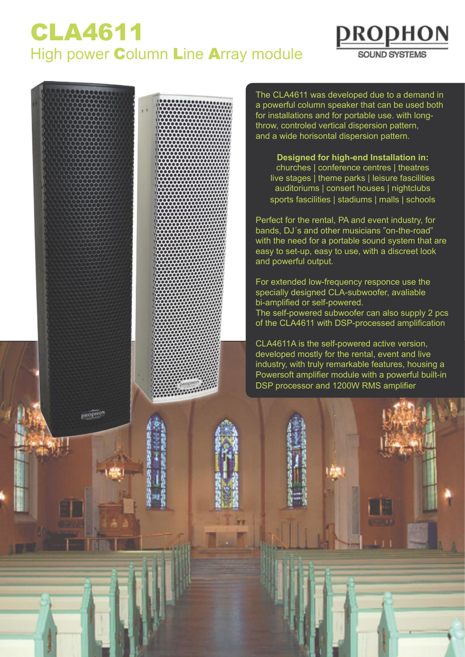## CLA4611 High power Column Line Array module

The CLA4611 was developed due to a demand in a powerful column speaker that can be used both for installations and for portable use. with longthrow, controled vertical dispersion pattern, and a wide horisontal dispersion pattern.

<u>DRODHON</u>

**SOUND SYSTEMS** 

**Designed for high-end Installation in:** churches | conference centres | theatres live stages | theme parks | leisure fascilities auditoriums | consert houses | nightclubs sports fascilities | stadiums | malls | schools

Perfect for the rental, PA and event industry, for bands, DJ´s and other musicians "on-the-road" with the need for a portable sound system that are easy to set-up, easy to use, with a discreet look and powerful output.

For extended low-frequency responce use the specially designed CLA-subwoofer, avaliable bi-amplified or self-powered. The self-powered subwoofer can also supply 2 pcs of the CLA4611 with DSP-processed amplification

CLA4611A is the self-powered active version, developed mostly for the rental, event and live industry, with truly remarkable features, housing a Powersoft amplifier module with a powerful built-in DSP processor and 1200W RMS amplifier

**PROPHON**